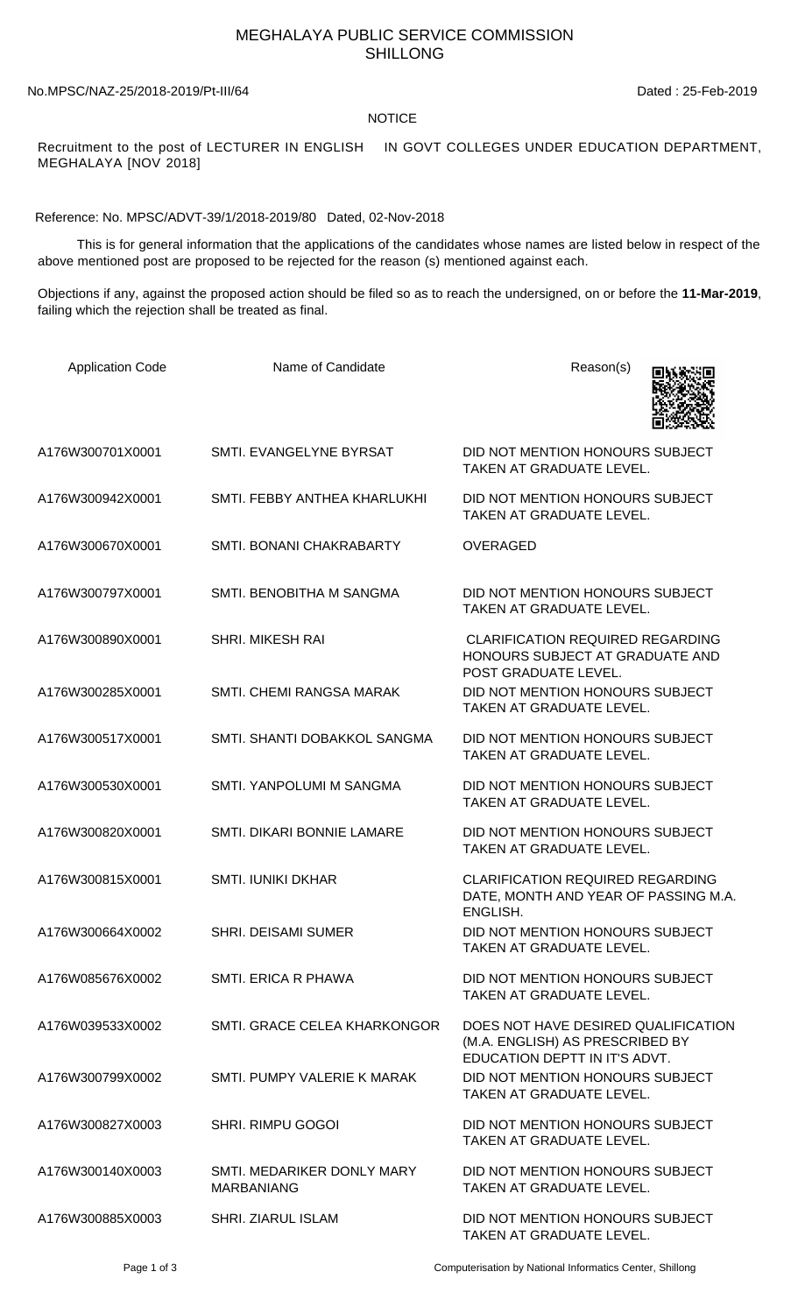## MEGHALAYA PUBLIC SERVICE COMMISSION SHILLONG

No.MPSC/NAZ-25/2018-2019/Pt-III/64 Dated : 25-Feb-2019

## NOTICE

Recruitment to the post of LECTURER IN ENGLISH IN GOVT COLLEGES UNDER EDUCATION DEPARTMENT, MEGHALAYA [NOV 2018]

Reference: No. MPSC/ADVT-39/1/2018-2019/80 Dated, 02-Nov-2018

 This is for general information that the applications of the candidates whose names are listed below in respect of the above mentioned post are proposed to be rejected for the reason (s) mentioned against each.

Objections if any, against the proposed action should be filed so as to reach the undersigned, on or before the **11-Mar-2019**, failing which the rejection shall be treated as final.

| <b>Application Code</b> | Name of Candidate                               | Reason(s)                                                                                               |
|-------------------------|-------------------------------------------------|---------------------------------------------------------------------------------------------------------|
| A176W300701X0001        | SMTI. EVANGELYNE BYRSAT                         | DID NOT MENTION HONOURS SUBJECT<br>TAKEN AT GRADUATE LEVEL.                                             |
| A176W300942X0001        | SMTI. FEBBY ANTHEA KHARLUKHI                    | DID NOT MENTION HONOURS SUBJECT<br>TAKEN AT GRADUATE LEVEL.                                             |
| A176W300670X0001        | SMTI. BONANI CHAKRABARTY                        | <b>OVERAGED</b>                                                                                         |
| A176W300797X0001        | SMTI. BENOBITHA M SANGMA                        | DID NOT MENTION HONOURS SUBJECT<br>TAKEN AT GRADUATE LEVEL.                                             |
| A176W300890X0001        | <b>SHRI. MIKESH RAI</b>                         | <b>CLARIFICATION REQUIRED REGARDING</b><br>HONOURS SUBJECT AT GRADUATE AND<br>POST GRADUATE LEVEL.      |
| A176W300285X0001        | SMTI. CHEMI RANGSA MARAK                        | DID NOT MENTION HONOURS SUBJECT<br>TAKEN AT GRADUATE LEVEL.                                             |
| A176W300517X0001        | SMTI. SHANTI DOBAKKOL SANGMA                    | DID NOT MENTION HONOURS SUBJECT<br>TAKEN AT GRADUATE LEVEL.                                             |
| A176W300530X0001        | SMTI. YANPOLUMI M SANGMA                        | DID NOT MENTION HONOURS SUBJECT<br>TAKEN AT GRADUATE LEVEL.                                             |
| A176W300820X0001        | SMTI. DIKARI BONNIE LAMARE                      | DID NOT MENTION HONOURS SUBJECT<br>TAKEN AT GRADUATE LEVEL.                                             |
| A176W300815X0001        | <b>SMTI. IUNIKI DKHAR</b>                       | <b>CLARIFICATION REQUIRED REGARDING</b><br>DATE, MONTH AND YEAR OF PASSING M.A.<br>ENGLISH.             |
| A176W300664X0002        | <b>SHRI. DEISAMI SUMER</b>                      | DID NOT MENTION HONOURS SUBJECT<br>TAKEN AT GRADUATE LEVEL.                                             |
| A176W085676X0002        | SMTI. ERICA R PHAWA                             | DID NOT MENTION HONOURS SUBJECT<br><b>TAKEN AT GRADUATE LEVEL.</b>                                      |
| A176W039533X0002        | SMTI, GRACE CELEA KHARKONGOR                    | DOES NOT HAVE DESIRED QUALIFICATION<br>(M.A. ENGLISH) AS PRESCRIBED BY<br>EDUCATION DEPTT IN IT'S ADVT. |
| A176W300799X0002        | SMTI. PUMPY VALERIE K MARAK                     | DID NOT MENTION HONOURS SUBJECT<br>TAKEN AT GRADUATE LEVEL.                                             |
| A176W300827X0003        | <b>SHRI. RIMPU GOGOI</b>                        | DID NOT MENTION HONOURS SUBJECT<br>TAKEN AT GRADUATE LEVEL.                                             |
| A176W300140X0003        | SMTI. MEDARIKER DONLY MARY<br><b>MARBANIANG</b> | DID NOT MENTION HONOURS SUBJECT<br>TAKEN AT GRADUATE LEVEL.                                             |
| A176W300885X0003        | <b>SHRI. ZIARUL ISLAM</b>                       | DID NOT MENTION HONOURS SUBJECT<br>TAKEN AT GRADUATE LEVEL.                                             |

Page 1 of 3 Computerisation by National Informatics Center, Shillong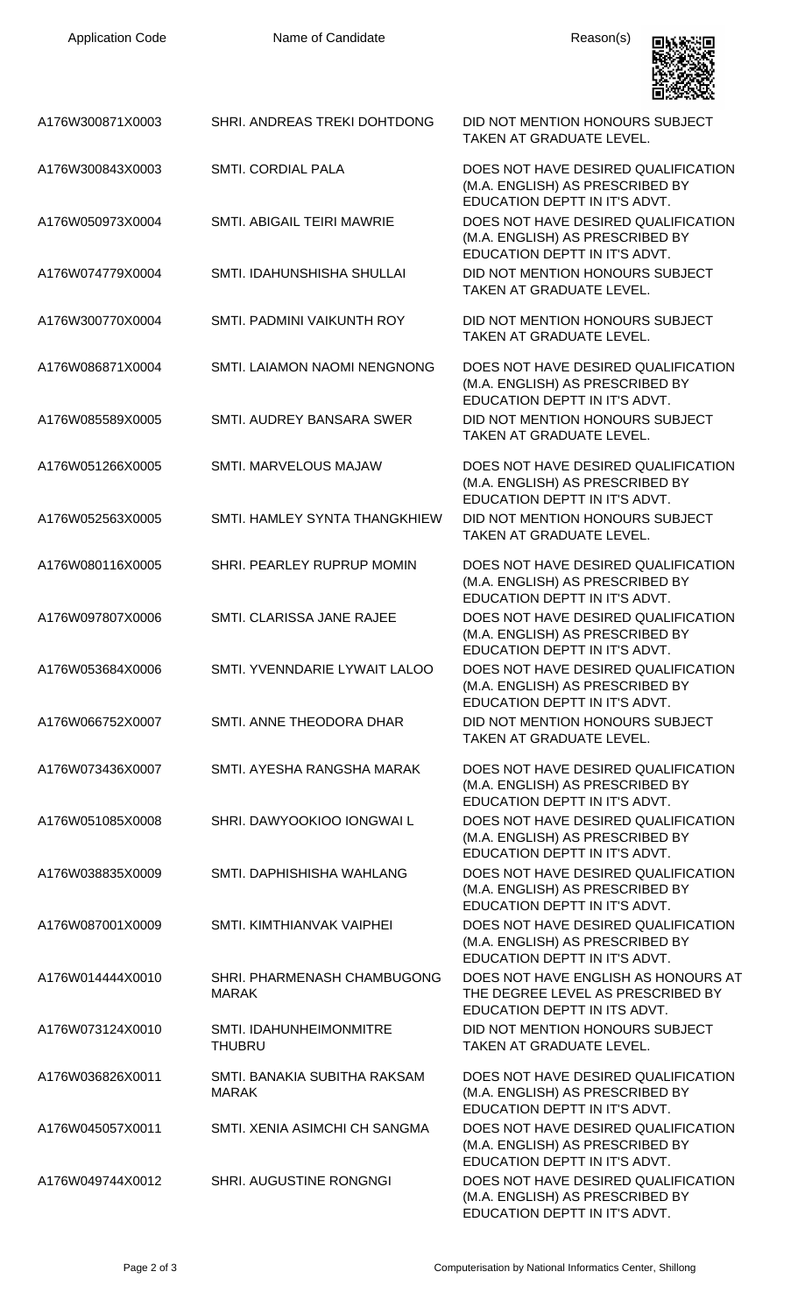

| A176W300871X0003 | SHRI. ANDREAS TREKI DOHTDONG                    | DID NOT MENTION HONOURS SUBJECT<br><b>TAKEN AT GRADUATE LEVEL.</b>                                       |
|------------------|-------------------------------------------------|----------------------------------------------------------------------------------------------------------|
| A176W300843X0003 | <b>SMTI. CORDIAL PALA</b>                       | DOES NOT HAVE DESIRED QUALIFICATION<br>(M.A. ENGLISH) AS PRESCRIBED BY<br>EDUCATION DEPTT IN IT'S ADVT.  |
| A176W050973X0004 | <b>SMTI. ABIGAIL TEIRI MAWRIE</b>               | DOES NOT HAVE DESIRED QUALIFICATION<br>(M.A. ENGLISH) AS PRESCRIBED BY<br>EDUCATION DEPTT IN IT'S ADVT.  |
| A176W074779X0004 | SMTI. IDAHUNSHISHA SHULLAI                      | DID NOT MENTION HONOURS SUBJECT<br>TAKEN AT GRADUATE LEVEL.                                              |
| A176W300770X0004 | SMTI. PADMINI VAIKUNTH ROY                      | DID NOT MENTION HONOURS SUBJECT<br>TAKEN AT GRADUATE LEVEL.                                              |
| A176W086871X0004 | SMTI. LAIAMON NAOMI NENGNONG                    | DOES NOT HAVE DESIRED QUALIFICATION<br>(M.A. ENGLISH) AS PRESCRIBED BY<br>EDUCATION DEPTT IN IT'S ADVT.  |
| A176W085589X0005 | SMTI. AUDREY BANSARA SWER                       | DID NOT MENTION HONOURS SUBJECT<br>TAKEN AT GRADUATE LEVEL.                                              |
| A176W051266X0005 | SMTI. MARVELOUS MAJAW                           | DOES NOT HAVE DESIRED QUALIFICATION<br>(M.A. ENGLISH) AS PRESCRIBED BY<br>EDUCATION DEPTT IN IT'S ADVT.  |
| A176W052563X0005 | SMTI. HAMLEY SYNTA THANGKHIEW                   | DID NOT MENTION HONOURS SUBJECT<br>TAKEN AT GRADUATE LEVEL.                                              |
| A176W080116X0005 | SHRI. PEARLEY RUPRUP MOMIN                      | DOES NOT HAVE DESIRED QUALIFICATION<br>(M.A. ENGLISH) AS PRESCRIBED BY<br>EDUCATION DEPTT IN IT'S ADVT.  |
| A176W097807X0006 | SMTI. CLARISSA JANE RAJEE                       | DOES NOT HAVE DESIRED QUALIFICATION<br>(M.A. ENGLISH) AS PRESCRIBED BY<br>EDUCATION DEPTT IN IT'S ADVT.  |
| A176W053684X0006 | SMTI. YVENNDARIE LYWAIT LALOO                   | DOES NOT HAVE DESIRED QUALIFICATION<br>(M.A. ENGLISH) AS PRESCRIBED BY<br>EDUCATION DEPTT IN IT'S ADVT.  |
| A176W066752X0007 | SMTI. ANNE THEODORA DHAR                        | DID NOT MENTION HONOURS SUBJECT<br>TAKEN AT GRADUATE LEVEL.                                              |
| A176W073436X0007 | SMTI. AYESHA RANGSHA MARAK                      | DOES NOT HAVE DESIRED QUALIFICATION<br>(M.A. ENGLISH) AS PRESCRIBED BY<br>EDUCATION DEPTT IN IT'S ADVT.  |
| A176W051085X0008 | SHRI. DAWYOOKIOO IONGWAI L                      | DOES NOT HAVE DESIRED QUALIFICATION<br>(M.A. ENGLISH) AS PRESCRIBED BY<br>EDUCATION DEPTT IN IT'S ADVT.  |
| A176W038835X0009 | SMTI. DAPHISHISHA WAHLANG                       | DOES NOT HAVE DESIRED QUALIFICATION<br>(M.A. ENGLISH) AS PRESCRIBED BY<br>EDUCATION DEPTT IN IT'S ADVT.  |
| A176W087001X0009 | SMTI. KIMTHIANVAK VAIPHEI                       | DOES NOT HAVE DESIRED QUALIFICATION<br>(M.A. ENGLISH) AS PRESCRIBED BY<br>EDUCATION DEPTT IN IT'S ADVT.  |
| A176W014444X0010 | SHRI. PHARMENASH CHAMBUGONG<br><b>MARAK</b>     | DOES NOT HAVE ENGLISH AS HONOURS AT<br>THE DEGREE LEVEL AS PRESCRIBED BY<br>EDUCATION DEPTT IN ITS ADVT. |
| A176W073124X0010 | <b>SMTI. IDAHUNHEIMONMITRE</b><br><b>THUBRU</b> | DID NOT MENTION HONOURS SUBJECT<br>TAKEN AT GRADUATE LEVEL.                                              |
| A176W036826X0011 | SMTI. BANAKIA SUBITHA RAKSAM<br><b>MARAK</b>    | DOES NOT HAVE DESIRED QUALIFICATION<br>(M.A. ENGLISH) AS PRESCRIBED BY<br>EDUCATION DEPTT IN IT'S ADVT.  |
| A176W045057X0011 | SMTI. XENIA ASIMCHI CH SANGMA                   | DOES NOT HAVE DESIRED QUALIFICATION<br>(M.A. ENGLISH) AS PRESCRIBED BY<br>EDUCATION DEPTT IN IT'S ADVT.  |
| A176W049744X0012 | <b>SHRI. AUGUSTINE RONGNGI</b>                  | DOES NOT HAVE DESIRED QUALIFICATION<br>(M.A. ENGLISH) AS PRESCRIBED BY<br>EDUCATION DEPTT IN IT'S ADVT.  |